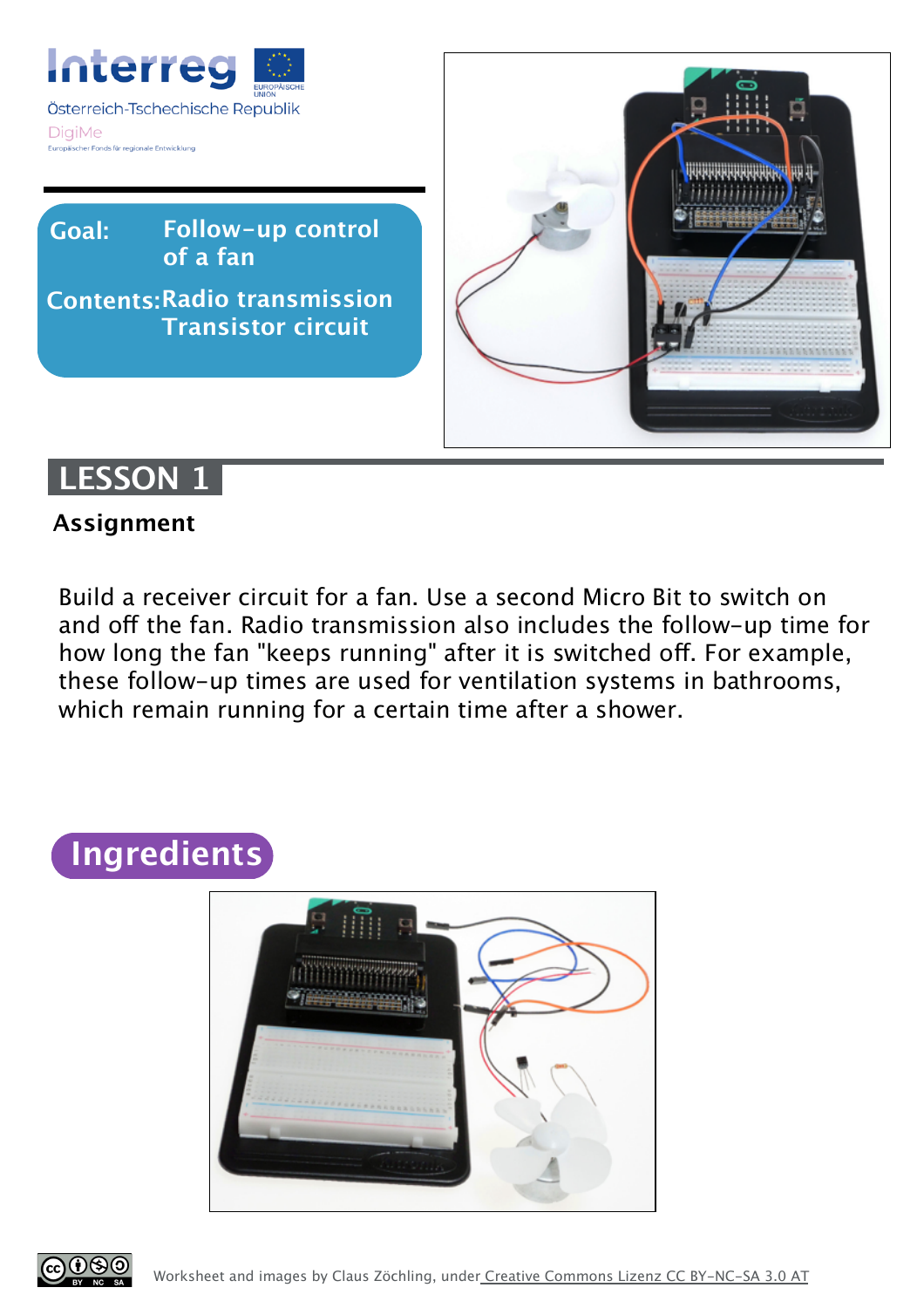

**Follow-up control of a fan Goal:**

**Radio transmission Contents: Transistor circuit**



### **LESSON 1**

#### **Assignment**

Build a receiver circuit for a fan. Use a second Micro Bit to switch on and off the fan. Radio transmission also includes the follow-up time for how long the fan "keeps running" after it is switched off. For example, these follow-up times are used for ventilation systems in bathrooms, which remain running for a certain time after a shower.

# **Ingredients**



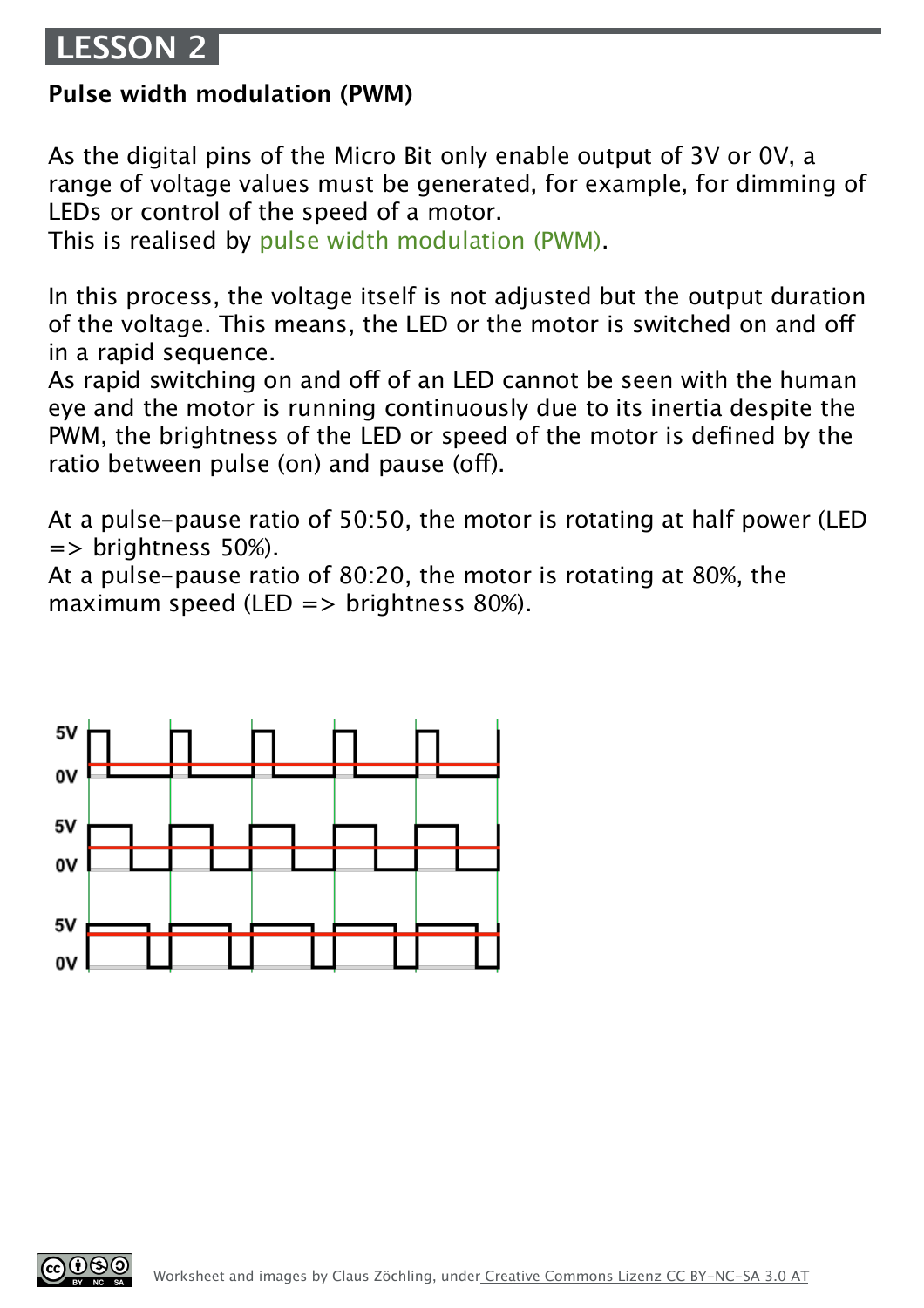## **LESSON 2**

#### **Pulse width modulation (PWM)**

As the digital pins of the Micro Bit only enable output of 3V or 0V, a range of voltage values must be generated, for example, for dimming of LEDs or control of the speed of a motor.

This is realised by pulse width modulation (PWM).

In this process, the voltage itself is not adjusted but the output duration of the voltage. This means, the LED or the motor is switched on and of in a rapid sequence.

As rapid switching on and off of an LED cannot be seen with the human eye and the motor is running continuously due to its inertia despite the PWM, the brightness of the LED or speed of the motor is defined by the ratio between pulse (on) and pause (off).

At a pulse-pause ratio of 50:50, the motor is rotating at half power (LED => brightness 50%).

At a pulse-pause ratio of 80:20, the motor is rotating at 80%, the maximum speed (LED  $\Rightarrow$  brightness 80%).



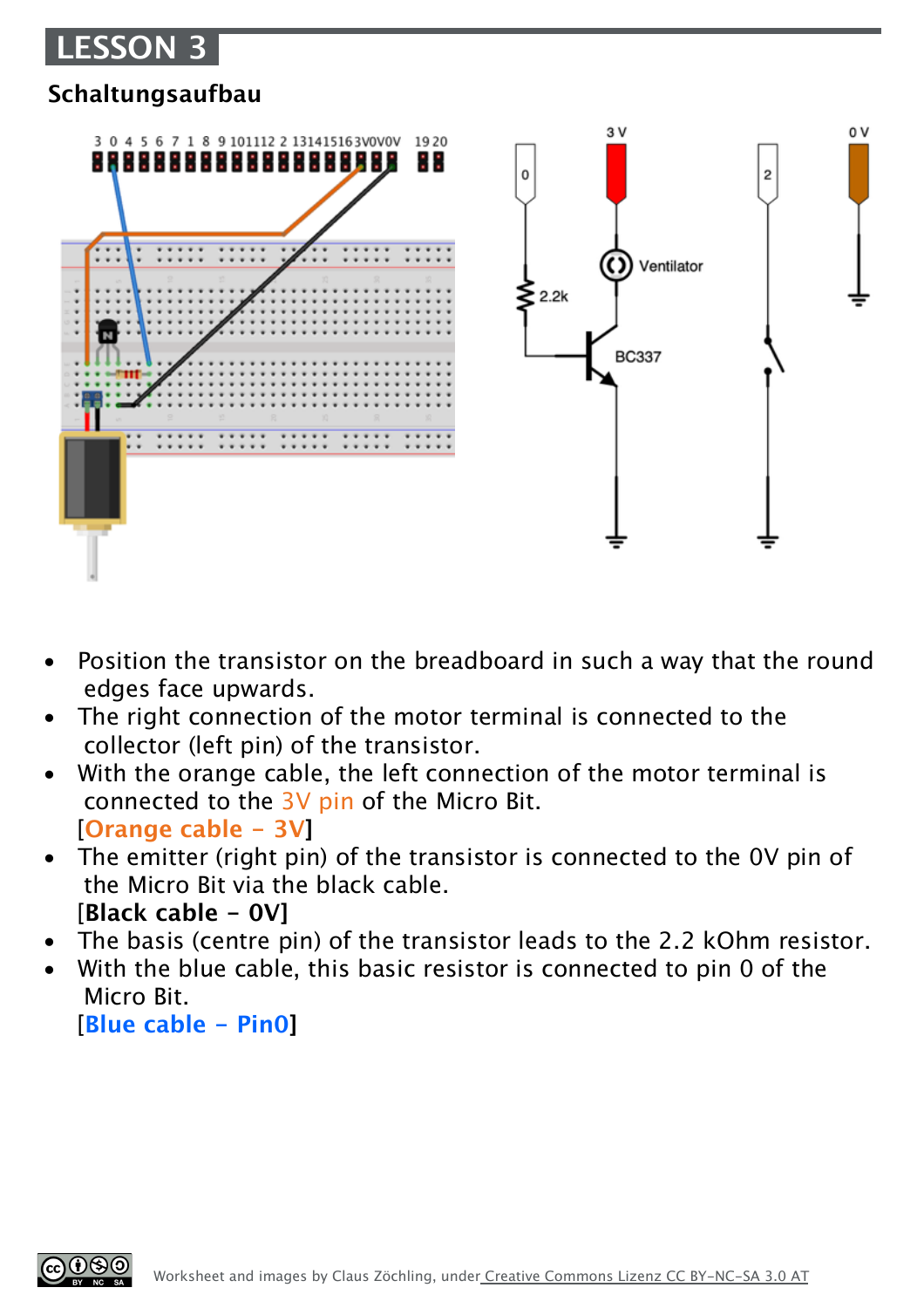## **LESSON 3**

### **Schaltungsaufbau**



- Position the transistor on the breadboard in such a way that the round edges face upwards.
- The right connection of the motor terminal is connected to the collector (left pin) of the transistor.
- With the orange cable, the left connection of the motor terminal is connected to the 3V pin of the Micro Bit. [**Orange cable - 3V]**
- The emitter (right pin) of the transistor is connected to the OV pin of the Micro Bit via the black cable. [**Black cable - 0V]**
- The basis (centre pin) of the transistor leads to the 2.2 kOhm resistor.
- With the blue cable, this basic resistor is connected to pin 0 of the Micro Bit.

[**Blue cable - Pin0]**

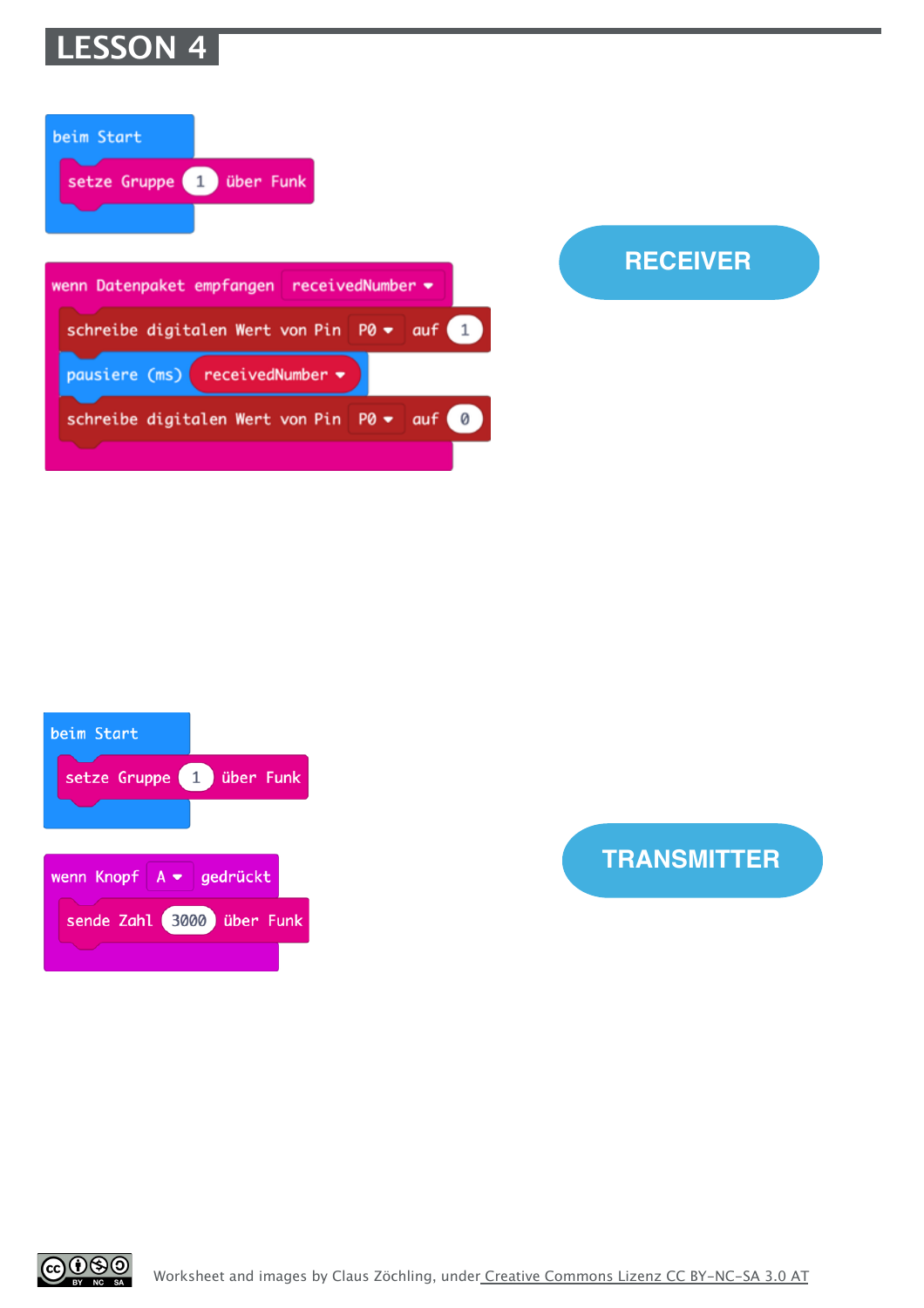

| beim Start<br>setze Gruppe 1 über Funk     |   |
|--------------------------------------------|---|
| wenn Datenpaket empfangen receivedNumber = |   |
| schreibe digitalen Wert von Pin P0 v auf 1 |   |
| pausiere (ms) receivedNumber <del>•</del>  |   |
| schreibe digitalen Wert von Pin P0 • auf   | Ø |
|                                            |   |